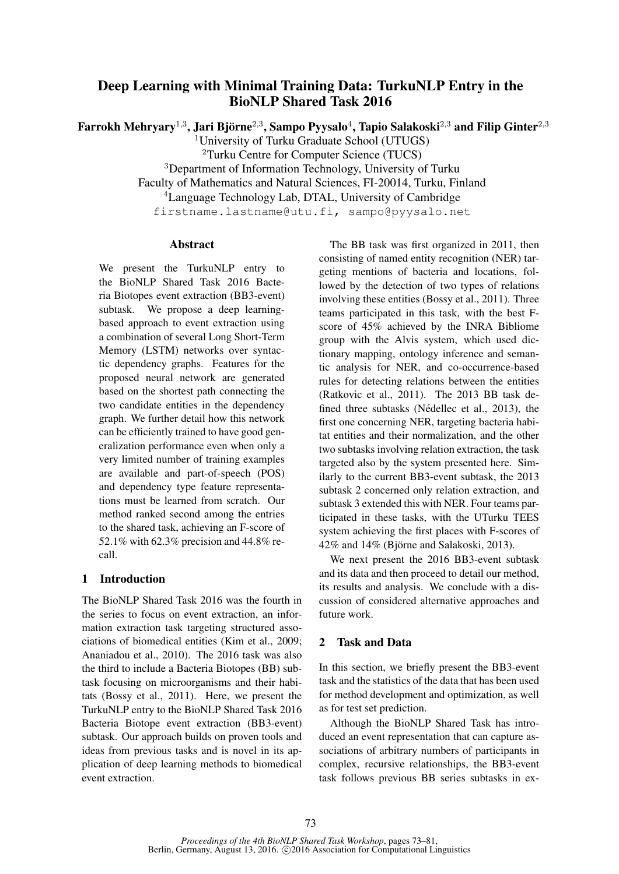# Deep Learning with Minimal Training Data: TurkuNLP Entry in the BioNLP Shared Task 2016

Farrokh Mehryary $^{1,3}$ , Jari Björne $^{2,3}$ , Sampo Pyysalo $^{4}$ , Tapio Salakoski $^{2,3}$  and Filip Ginter $^{2,3}$ 

<sup>1</sup>University of Turku Graduate School (UTUGS)

<sup>2</sup>Turku Centre for Computer Science (TUCS)

<sup>3</sup>Department of Information Technology, University of Turku

Faculty of Mathematics and Natural Sciences, FI-20014, Turku, Finland

<sup>4</sup>Language Technology Lab, DTAL, University of Cambridge

firstname.lastname@utu.fi, sampo@pyysalo.net

### Abstract

We present the TurkuNLP entry to the BioNLP Shared Task 2016 Bacteria Biotopes event extraction (BB3-event) subtask. We propose a deep learningbased approach to event extraction using a combination of several Long Short-Term Memory (LSTM) networks over syntactic dependency graphs. Features for the proposed neural network are generated based on the shortest path connecting the two candidate entities in the dependency graph. We further detail how this network can be efficiently trained to have good generalization performance even when only a very limited number of training examples are available and part-of-speech (POS) and dependency type feature representations must be learned from scratch. Our method ranked second among the entries to the shared task, achieving an F-score of 52.1% with 62.3% precision and 44.8% recall.

# 1 Introduction

The BioNLP Shared Task 2016 was the fourth in the series to focus on event extraction, an information extraction task targeting structured associations of biomedical entities (Kim et al., 2009; Ananiadou et al., 2010). The 2016 task was also the third to include a Bacteria Biotopes (BB) subtask focusing on microorganisms and their habitats (Bossy et al., 2011). Here, we present the TurkuNLP entry to the BioNLP Shared Task 2016 Bacteria Biotope event extraction (BB3-event) subtask. Our approach builds on proven tools and ideas from previous tasks and is novel in its application of deep learning methods to biomedical event extraction.

The BB task was first organized in 2011, then consisting of named entity recognition (NER) targeting mentions of bacteria and locations, followed by the detection of two types of relations involving these entities (Bossy et al., 2011). Three teams participated in this task, with the best Fscore of 45% achieved by the INRA Bibliome group with the Alvis system, which used dictionary mapping, ontology inference and semantic analysis for NER, and co-occurrence-based rules for detecting relations between the entities (Ratkovic et al., 2011). The 2013 BB task defined three subtasks (Nédellec et al., 2013), the first one concerning NER, targeting bacteria habitat entities and their normalization, and the other two subtasks involving relation extraction, the task targeted also by the system presented here. Similarly to the current BB3-event subtask, the 2013 subtask 2 concerned only relation extraction, and subtask 3 extended this with NER. Four teams participated in these tasks, with the UTurku TEES system achieving the first places with F-scores of  $42\%$  and  $14\%$  (Björne and Salakoski, 2013).

We next present the 2016 BB3-event subtask and its data and then proceed to detail our method, its results and analysis. We conclude with a discussion of considered alternative approaches and future work.

# 2 Task and Data

In this section, we briefly present the BB3-event task and the statistics of the data that has been used for method development and optimization, as well as for test set prediction.

Although the BioNLP Shared Task has introduced an event representation that can capture associations of arbitrary numbers of participants in complex, recursive relationships, the BB3-event task follows previous BB series subtasks in ex-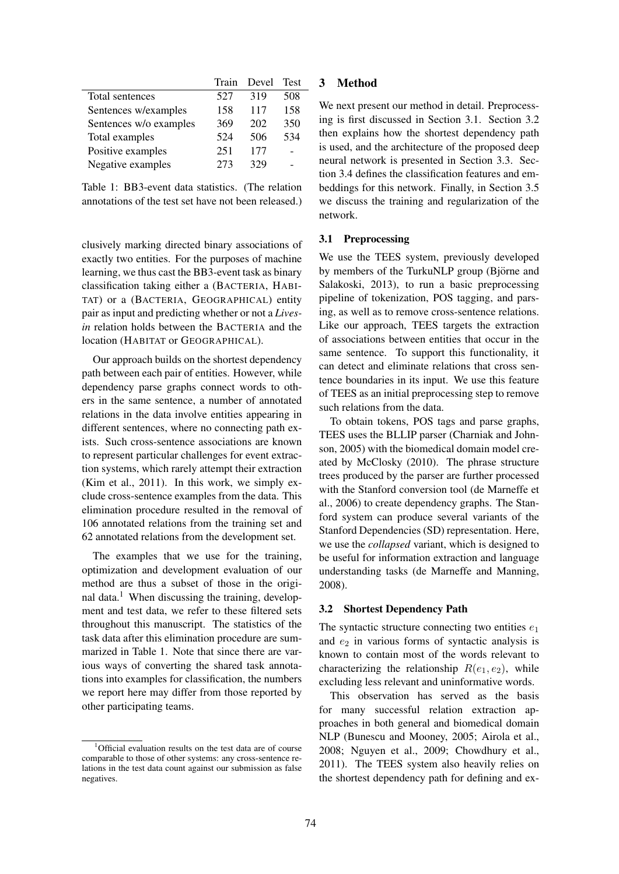|                        | Train | Devel | <b>Test</b> |
|------------------------|-------|-------|-------------|
| Total sentences        | 527   | 319   | 508         |
| Sentences w/examples   | 158   | 117   | 158         |
| Sentences w/o examples | 369   | 202   | 350         |
| Total examples         | 524   | 506   | 534         |
| Positive examples      | 251   | 177   |             |
| Negative examples      | 273   | 329   |             |

Table 1: BB3-event data statistics. (The relation annotations of the test set have not been released.)

clusively marking directed binary associations of exactly two entities. For the purposes of machine learning, we thus cast the BB3-event task as binary classification taking either a (BACTERIA, HABI-TAT) or a (BACTERIA, GEOGRAPHICAL) entity pair as input and predicting whether or not a *Livesin* relation holds between the BACTERIA and the location (HABITAT or GEOGRAPHICAL).

Our approach builds on the shortest dependency path between each pair of entities. However, while dependency parse graphs connect words to others in the same sentence, a number of annotated relations in the data involve entities appearing in different sentences, where no connecting path exists. Such cross-sentence associations are known to represent particular challenges for event extraction systems, which rarely attempt their extraction (Kim et al., 2011). In this work, we simply exclude cross-sentence examples from the data. This elimination procedure resulted in the removal of 106 annotated relations from the training set and 62 annotated relations from the development set.

The examples that we use for the training, optimization and development evaluation of our method are thus a subset of those in the original data.<sup>1</sup> When discussing the training, development and test data, we refer to these filtered sets throughout this manuscript. The statistics of the task data after this elimination procedure are summarized in Table 1. Note that since there are various ways of converting the shared task annotations into examples for classification, the numbers we report here may differ from those reported by other participating teams.

### 3 Method

We next present our method in detail. Preprocessing is first discussed in Section 3.1. Section 3.2 then explains how the shortest dependency path is used, and the architecture of the proposed deep neural network is presented in Section 3.3. Section 3.4 defines the classification features and embeddings for this network. Finally, in Section 3.5 we discuss the training and regularization of the network.

#### 3.1 Preprocessing

We use the TEES system, previously developed by members of the TurkuNLP group (Björne and Salakoski, 2013), to run a basic preprocessing pipeline of tokenization, POS tagging, and parsing, as well as to remove cross-sentence relations. Like our approach, TEES targets the extraction of associations between entities that occur in the same sentence. To support this functionality, it can detect and eliminate relations that cross sentence boundaries in its input. We use this feature of TEES as an initial preprocessing step to remove such relations from the data.

To obtain tokens, POS tags and parse graphs, TEES uses the BLLIP parser (Charniak and Johnson, 2005) with the biomedical domain model created by McClosky (2010). The phrase structure trees produced by the parser are further processed with the Stanford conversion tool (de Marneffe et al., 2006) to create dependency graphs. The Stanford system can produce several variants of the Stanford Dependencies (SD) representation. Here, we use the *collapsed* variant, which is designed to be useful for information extraction and language understanding tasks (de Marneffe and Manning, 2008).

#### 3.2 Shortest Dependency Path

The syntactic structure connecting two entities  $e_1$ and  $e_2$  in various forms of syntactic analysis is known to contain most of the words relevant to characterizing the relationship  $R(e_1, e_2)$ , while excluding less relevant and uninformative words.

This observation has served as the basis for many successful relation extraction approaches in both general and biomedical domain NLP (Bunescu and Mooney, 2005; Airola et al., 2008; Nguyen et al., 2009; Chowdhury et al., 2011). The TEES system also heavily relies on the shortest dependency path for defining and ex-

<sup>&</sup>lt;sup>1</sup>Official evaluation results on the test data are of course comparable to those of other systems: any cross-sentence relations in the test data count against our submission as false negatives.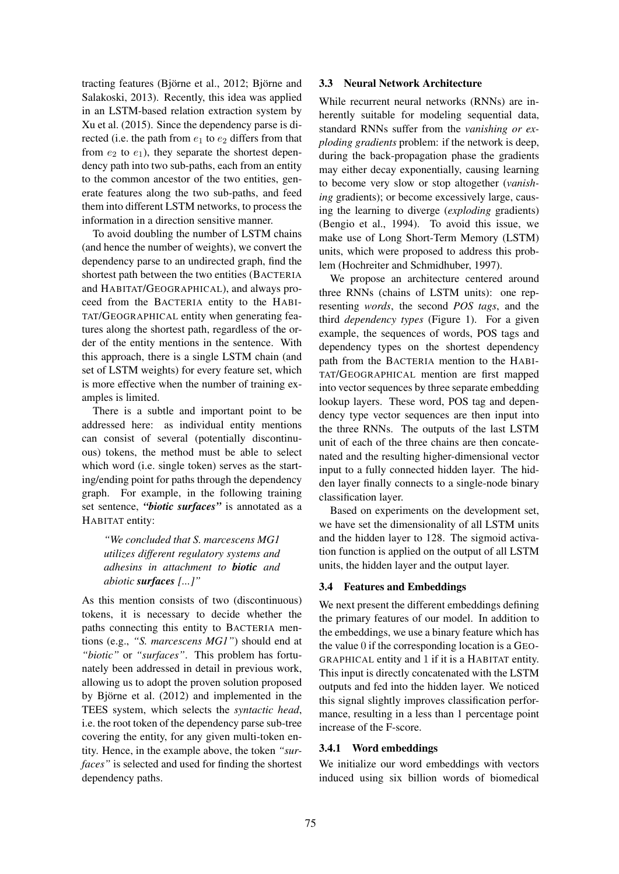tracting features (Björne et al.,  $2012$ ; Björne and Salakoski, 2013). Recently, this idea was applied in an LSTM-based relation extraction system by Xu et al. (2015). Since the dependency parse is directed (i.e. the path from  $e_1$  to  $e_2$  differs from that from  $e_2$  to  $e_1$ ), they separate the shortest dependency path into two sub-paths, each from an entity to the common ancestor of the two entities, generate features along the two sub-paths, and feed them into different LSTM networks, to process the information in a direction sensitive manner.

To avoid doubling the number of LSTM chains (and hence the number of weights), we convert the dependency parse to an undirected graph, find the shortest path between the two entities (BACTERIA and HABITAT/GEOGRAPHICAL), and always proceed from the BACTERIA entity to the HABI-TAT/GEOGRAPHICAL entity when generating features along the shortest path, regardless of the order of the entity mentions in the sentence. With this approach, there is a single LSTM chain (and set of LSTM weights) for every feature set, which is more effective when the number of training examples is limited.

There is a subtle and important point to be addressed here: as individual entity mentions can consist of several (potentially discontinuous) tokens, the method must be able to select which word (i.e. single token) serves as the starting/ending point for paths through the dependency graph. For example, in the following training set sentence, *"biotic surfaces"* is annotated as a HABITAT entity:

*"We concluded that S. marcescens MG1 utilizes different regulatory systems and adhesins in attachment to biotic and abiotic surfaces [...]"*

As this mention consists of two (discontinuous) tokens, it is necessary to decide whether the paths connecting this entity to BACTERIA mentions (e.g., *"S. marcescens MG1"*) should end at *"biotic"* or *"surfaces"*. This problem has fortunately been addressed in detail in previous work, allowing us to adopt the proven solution proposed by Björne et al.  $(2012)$  and implemented in the TEES system, which selects the *syntactic head*, i.e. the root token of the dependency parse sub-tree covering the entity, for any given multi-token entity. Hence, in the example above, the token *"surfaces"* is selected and used for finding the shortest dependency paths.

### 3.3 Neural Network Architecture

While recurrent neural networks (RNNs) are inherently suitable for modeling sequential data, standard RNNs suffer from the *vanishing or exploding gradients* problem: if the network is deep, during the back-propagation phase the gradients may either decay exponentially, causing learning to become very slow or stop altogether (*vanishing* gradients); or become excessively large, causing the learning to diverge (*exploding* gradients) (Bengio et al., 1994). To avoid this issue, we make use of Long Short-Term Memory (LSTM) units, which were proposed to address this problem (Hochreiter and Schmidhuber, 1997).

We propose an architecture centered around three RNNs (chains of LSTM units): one representing *words*, the second *POS tags*, and the third *dependency types* (Figure 1). For a given example, the sequences of words, POS tags and dependency types on the shortest dependency path from the BACTERIA mention to the HABI-TAT/GEOGRAPHICAL mention are first mapped into vector sequences by three separate embedding lookup layers. These word, POS tag and dependency type vector sequences are then input into the three RNNs. The outputs of the last LSTM unit of each of the three chains are then concatenated and the resulting higher-dimensional vector input to a fully connected hidden layer. The hidden layer finally connects to a single-node binary classification layer.

Based on experiments on the development set, we have set the dimensionality of all LSTM units and the hidden layer to 128. The sigmoid activation function is applied on the output of all LSTM units, the hidden layer and the output layer.

#### 3.4 Features and Embeddings

We next present the different embeddings defining the primary features of our model. In addition to the embeddings, we use a binary feature which has the value 0 if the corresponding location is a GEO-GRAPHICAL entity and 1 if it is a HABITAT entity. This input is directly concatenated with the LSTM outputs and fed into the hidden layer. We noticed this signal slightly improves classification performance, resulting in a less than 1 percentage point increase of the F-score.

#### 3.4.1 Word embeddings

We initialize our word embeddings with vectors induced using six billion words of biomedical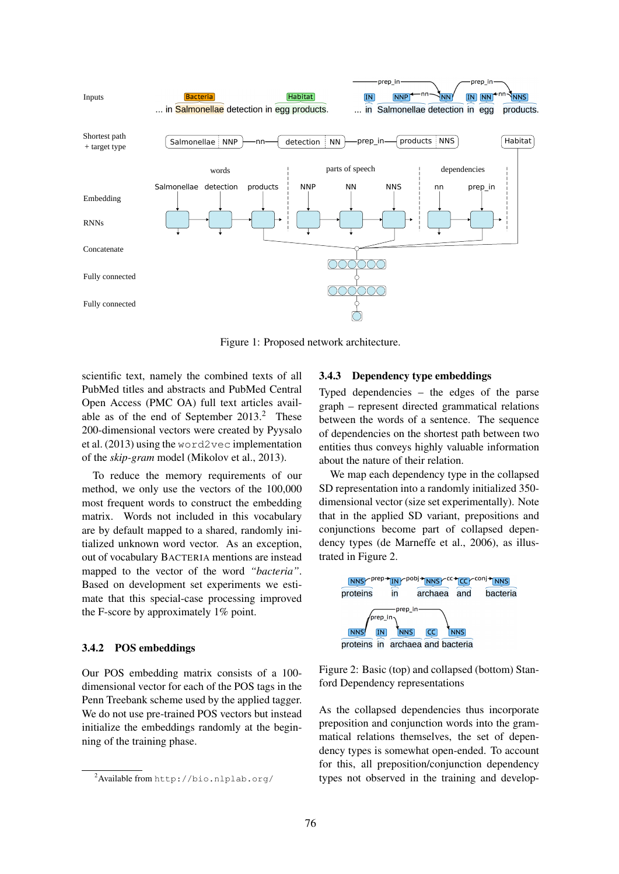

Figure 1: Proposed network architecture.

scientific text, namely the combined texts of all PubMed titles and abstracts and PubMed Central Open Access (PMC OA) full text articles available as of the end of September  $2013<sup>2</sup>$ . These 200-dimensional vectors were created by Pyysalo et al. (2013) using the word2vec implementation of the *skip-gram* model (Mikolov et al., 2013).

To reduce the memory requirements of our method, we only use the vectors of the 100,000 most frequent words to construct the embedding matrix. Words not included in this vocabulary are by default mapped to a shared, randomly initialized unknown word vector. As an exception, out of vocabulary BACTERIA mentions are instead mapped to the vector of the word *"bacteria"*. Based on development set experiments we estimate that this special-case processing improved the F-score by approximately 1% point.

### 3.4.2 POS embeddings

Our POS embedding matrix consists of a 100 dimensional vector for each of the POS tags in the Penn Treebank scheme used by the applied tagger. We do not use pre-trained POS vectors but instead initialize the embeddings randomly at the beginning of the training phase.

#### 3.4.3 Dependency type embeddings

Typed dependencies – the edges of the parse graph – represent directed grammatical relations between the words of a sentence. The sequence of dependencies on the shortest path between two entities thus conveys highly valuable information about the nature of their relation.

We map each dependency type in the collapsed SD representation into a randomly initialized 350 dimensional vector (size set experimentally). Note that in the applied SD variant, prepositions and conjunctions become part of collapsed dependency types (de Marneffe et al., 2006), as illustrated in Figure 2.



Figure 2: Basic (top) and collapsed (bottom) Stanford Dependency representations

As the collapsed dependencies thus incorporate preposition and conjunction words into the grammatical relations themselves, the set of dependency types is somewhat open-ended. To account for this, all preposition/conjunction dependency types not observed in the training and develop-

<sup>2</sup>Available from http://bio.nlplab.org/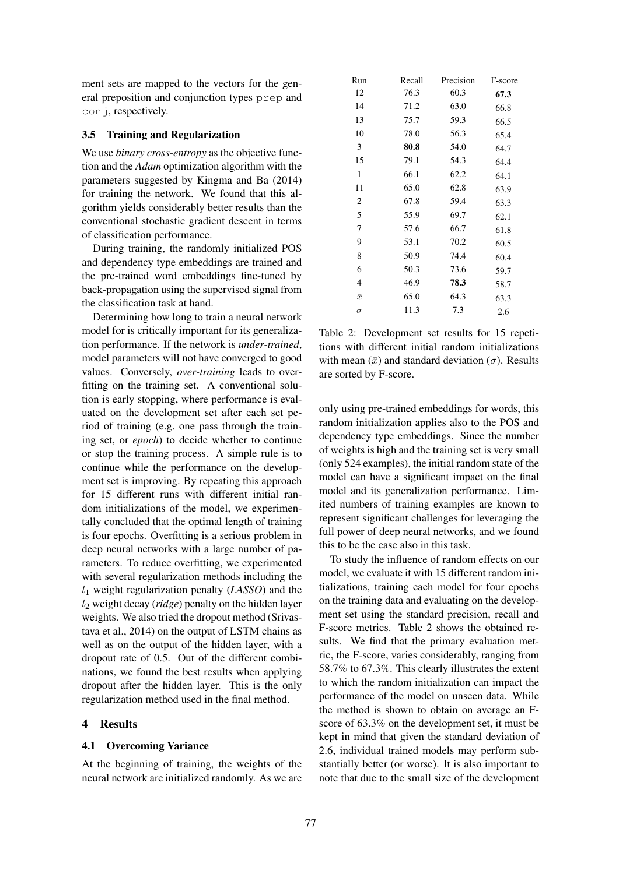ment sets are mapped to the vectors for the general preposition and conjunction types prep and conj, respectively.

### 3.5 Training and Regularization

We use *binary cross-entropy* as the objective function and the *Adam* optimization algorithm with the parameters suggested by Kingma and Ba (2014) for training the network. We found that this algorithm yields considerably better results than the conventional stochastic gradient descent in terms of classification performance.

During training, the randomly initialized POS and dependency type embeddings are trained and the pre-trained word embeddings fine-tuned by back-propagation using the supervised signal from the classification task at hand.

Determining how long to train a neural network model for is critically important for its generalization performance. If the network is *under-trained*, model parameters will not have converged to good values. Conversely, *over-training* leads to overfitting on the training set. A conventional solution is early stopping, where performance is evaluated on the development set after each set period of training (e.g. one pass through the training set, or *epoch*) to decide whether to continue or stop the training process. A simple rule is to continue while the performance on the development set is improving. By repeating this approach for 15 different runs with different initial random initializations of the model, we experimentally concluded that the optimal length of training is four epochs. Overfitting is a serious problem in deep neural networks with a large number of parameters. To reduce overfitting, we experimented with several regularization methods including the  $l_1$  weight regularization penalty (*LASSO*) and the l<sup>2</sup> weight decay (*ridge*) penalty on the hidden layer weights. We also tried the dropout method (Srivastava et al., 2014) on the output of LSTM chains as well as on the output of the hidden layer, with a dropout rate of 0.5. Out of the different combinations, we found the best results when applying dropout after the hidden layer. This is the only regularization method used in the final method.

### 4 Results

### 4.1 Overcoming Variance

At the beginning of training, the weights of the neural network are initialized randomly. As we are

| Run       | Recall | Precision | F-score |
|-----------|--------|-----------|---------|
| 12        | 76.3   | 60.3      | 67.3    |
| 14        | 71.2   | 63.0      | 66.8    |
| 13        | 75.7   | 59.3      | 66.5    |
| 10        | 78.0   | 56.3      | 65.4    |
| 3         | 80.8   | 54.0      | 64.7    |
| 15        | 79.1   | 54.3      | 64.4    |
| 1         | 66.1   | 62.2      | 64.1    |
| 11        | 65.0   | 62.8      | 63.9    |
| 2         | 67.8   | 59.4      | 63.3    |
| 5         | 55.9   | 69.7      | 62.1    |
| 7         | 57.6   | 66.7      | 61.8    |
| 9         | 53.1   | 70.2      | 60.5    |
| 8         | 50.9   | 74.4      | 60.4    |
| 6         | 50.3   | 73.6      | 59.7    |
| 4         | 46.9   | 78.3      | 58.7    |
| $\bar{x}$ | 65.0   | 64.3      | 63.3    |
| $\sigma$  | 11.3   | 7.3       | 2.6     |

Table 2: Development set results for 15 repetitions with different initial random initializations with mean  $(\bar{x})$  and standard deviation  $(\sigma)$ . Results are sorted by F-score.

only using pre-trained embeddings for words, this random initialization applies also to the POS and dependency type embeddings. Since the number of weights is high and the training set is very small (only 524 examples), the initial random state of the model can have a significant impact on the final model and its generalization performance. Limited numbers of training examples are known to represent significant challenges for leveraging the full power of deep neural networks, and we found this to be the case also in this task.

To study the influence of random effects on our model, we evaluate it with 15 different random initializations, training each model for four epochs on the training data and evaluating on the development set using the standard precision, recall and F-score metrics. Table 2 shows the obtained results. We find that the primary evaluation metric, the F-score, varies considerably, ranging from 58.7% to 67.3%. This clearly illustrates the extent to which the random initialization can impact the performance of the model on unseen data. While the method is shown to obtain on average an Fscore of 63.3% on the development set, it must be kept in mind that given the standard deviation of 2.6, individual trained models may perform substantially better (or worse). It is also important to note that due to the small size of the development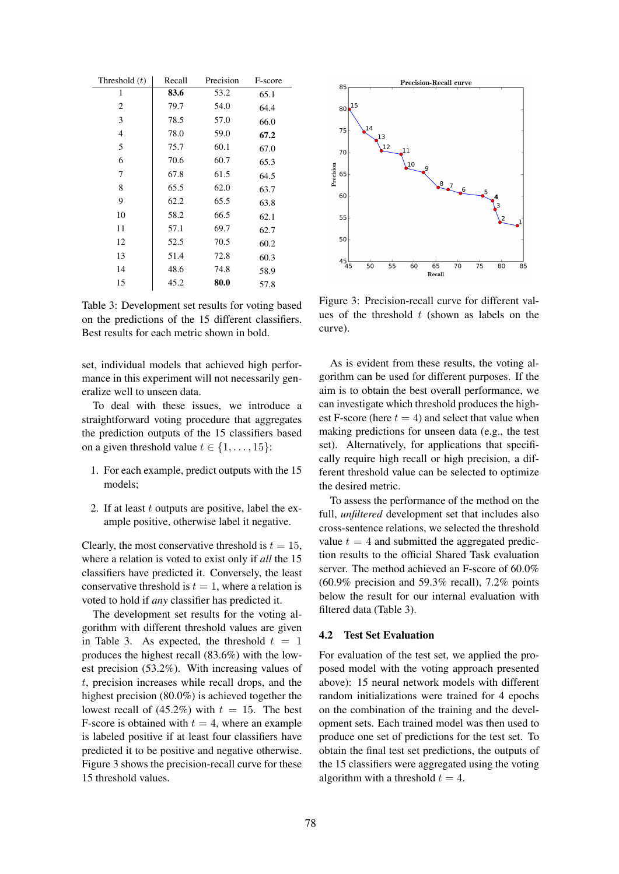| Threshold $(t)$ | Recall | Precision | F-score |
|-----------------|--------|-----------|---------|
| 1               | 83.6   | 53.2      | 65.1    |
| $\overline{c}$  | 79.7   | 54.0      | 64.4    |
| 3               | 78.5   | 57.0      | 66.0    |
| 4               | 78.0   | 59.0      | 67.2    |
| 5               | 75.7   | 60.1      | 67.0    |
| 6               | 70.6   | 60.7      | 65.3    |
| 7               | 67.8   | 61.5      | 64.5    |
| 8               | 65.5   | 62.0      | 63.7    |
| 9               | 62.2   | 65.5      | 63.8    |
| 10              | 58.2   | 66.5      | 62.1    |
| 11              | 57.1   | 69.7      | 62.7    |
| 12              | 52.5   | 70.5      | 60.2    |
| 13              | 51.4   | 72.8      | 60.3    |
| 14              | 48.6   | 74.8      | 58.9    |
| 15              | 45.2   | 80.0      | 57.8    |

Table 3: Development set results for voting based on the predictions of the 15 different classifiers. Best results for each metric shown in bold.

set, individual models that achieved high performance in this experiment will not necessarily generalize well to unseen data.

To deal with these issues, we introduce a straightforward voting procedure that aggregates the prediction outputs of the 15 classifiers based on a given threshold value  $t \in \{1, \ldots, 15\}$ :

- 1. For each example, predict outputs with the 15 models;
- 2. If at least  $t$  outputs are positive, label the example positive, otherwise label it negative.

Clearly, the most conservative threshold is  $t = 15$ , where a relation is voted to exist only if *all* the 15 classifiers have predicted it. Conversely, the least conservative threshold is  $t = 1$ , where a relation is voted to hold if *any* classifier has predicted it.

The development set results for the voting algorithm with different threshold values are given in Table 3. As expected, the threshold  $t = 1$ produces the highest recall (83.6%) with the lowest precision (53.2%). With increasing values of t, precision increases while recall drops, and the highest precision (80.0%) is achieved together the lowest recall of (45.2%) with  $t = 15$ . The best F-score is obtained with  $t = 4$ , where an example is labeled positive if at least four classifiers have predicted it to be positive and negative otherwise. Figure 3 shows the precision-recall curve for these 15 threshold values.



Figure 3: Precision-recall curve for different values of the threshold  $t$  (shown as labels on the curve).

As is evident from these results, the voting algorithm can be used for different purposes. If the aim is to obtain the best overall performance, we can investigate which threshold produces the highest F-score (here  $t = 4$ ) and select that value when making predictions for unseen data (e.g., the test set). Alternatively, for applications that specifically require high recall or high precision, a different threshold value can be selected to optimize the desired metric.

To assess the performance of the method on the full, *unfiltered* development set that includes also cross-sentence relations, we selected the threshold value  $t = 4$  and submitted the aggregated prediction results to the official Shared Task evaluation server. The method achieved an F-score of 60.0%  $(60.9\%$  precision and 59.3% recall), 7.2% points below the result for our internal evaluation with filtered data (Table 3).

#### 4.2 Test Set Evaluation

For evaluation of the test set, we applied the proposed model with the voting approach presented above): 15 neural network models with different random initializations were trained for 4 epochs on the combination of the training and the development sets. Each trained model was then used to produce one set of predictions for the test set. To obtain the final test set predictions, the outputs of the 15 classifiers were aggregated using the voting algorithm with a threshold  $t = 4$ .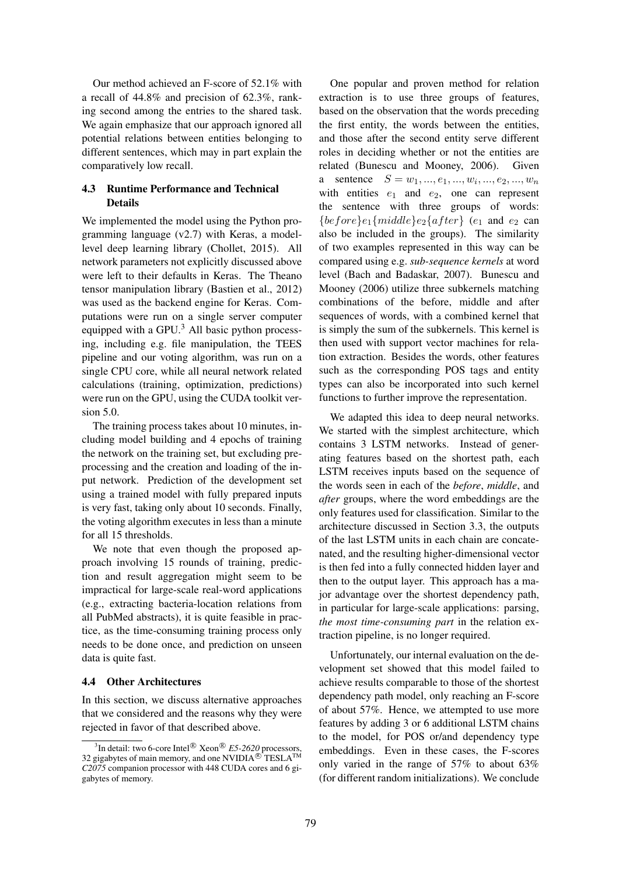Our method achieved an F-score of 52.1% with a recall of 44.8% and precision of 62.3%, ranking second among the entries to the shared task. We again emphasize that our approach ignored all potential relations between entities belonging to different sentences, which may in part explain the comparatively low recall.

### 4.3 Runtime Performance and Technical Details

We implemented the model using the Python programming language (v2.7) with Keras, a modellevel deep learning library (Chollet, 2015). All network parameters not explicitly discussed above were left to their defaults in Keras. The Theano tensor manipulation library (Bastien et al., 2012) was used as the backend engine for Keras. Computations were run on a single server computer equipped with a GPU. $<sup>3</sup>$  All basic python process-</sup> ing, including e.g. file manipulation, the TEES pipeline and our voting algorithm, was run on a single CPU core, while all neural network related calculations (training, optimization, predictions) were run on the GPU, using the CUDA toolkit version 5.0.

The training process takes about 10 minutes, including model building and 4 epochs of training the network on the training set, but excluding preprocessing and the creation and loading of the input network. Prediction of the development set using a trained model with fully prepared inputs is very fast, taking only about 10 seconds. Finally, the voting algorithm executes in less than a minute for all 15 thresholds.

We note that even though the proposed approach involving 15 rounds of training, prediction and result aggregation might seem to be impractical for large-scale real-word applications (e.g., extracting bacteria-location relations from all PubMed abstracts), it is quite feasible in practice, as the time-consuming training process only needs to be done once, and prediction on unseen data is quite fast.

### 4.4 Other Architectures

In this section, we discuss alternative approaches that we considered and the reasons why they were rejected in favor of that described above.

One popular and proven method for relation extraction is to use three groups of features, based on the observation that the words preceding the first entity, the words between the entities, and those after the second entity serve different roles in deciding whether or not the entities are related (Bunescu and Mooney, 2006). Given a sentence  $S = w_1, ..., e_1, ..., w_i, ..., e_2, ..., w_n$ with entities  $e_1$  and  $e_2$ , one can represent the sentence with three groups of words:  ${before}_{e_1}{middle}_{e_2}{after}$  (e<sub>1</sub> and e<sub>2</sub> can also be included in the groups). The similarity of two examples represented in this way can be compared using e.g. *sub-sequence kernels* at word level (Bach and Badaskar, 2007). Bunescu and Mooney (2006) utilize three subkernels matching combinations of the before, middle and after sequences of words, with a combined kernel that is simply the sum of the subkernels. This kernel is then used with support vector machines for relation extraction. Besides the words, other features such as the corresponding POS tags and entity types can also be incorporated into such kernel functions to further improve the representation.

We adapted this idea to deep neural networks. We started with the simplest architecture, which contains 3 LSTM networks. Instead of generating features based on the shortest path, each LSTM receives inputs based on the sequence of the words seen in each of the *before*, *middle*, and *after* groups, where the word embeddings are the only features used for classification. Similar to the architecture discussed in Section 3.3, the outputs of the last LSTM units in each chain are concatenated, and the resulting higher-dimensional vector is then fed into a fully connected hidden layer and then to the output layer. This approach has a major advantage over the shortest dependency path, in particular for large-scale applications: parsing, *the most time-consuming part* in the relation extraction pipeline, is no longer required.

Unfortunately, our internal evaluation on the development set showed that this model failed to achieve results comparable to those of the shortest dependency path model, only reaching an F-score of about 57%. Hence, we attempted to use more features by adding 3 or 6 additional LSTM chains to the model, for POS or/and dependency type embeddings. Even in these cases, the F-scores only varied in the range of 57% to about 63% (for different random initializations). We conclude

<sup>&</sup>lt;sup>3</sup>In detail: two 6-core Intel<sup>®</sup> Xeon<sup>®</sup> E5-2620 processors, 32 gigabytes of main memory, and one NVIDIA<sup>®</sup> TESLA<sup>™</sup> *C2075* companion processor with 448 CUDA cores and 6 gigabytes of memory.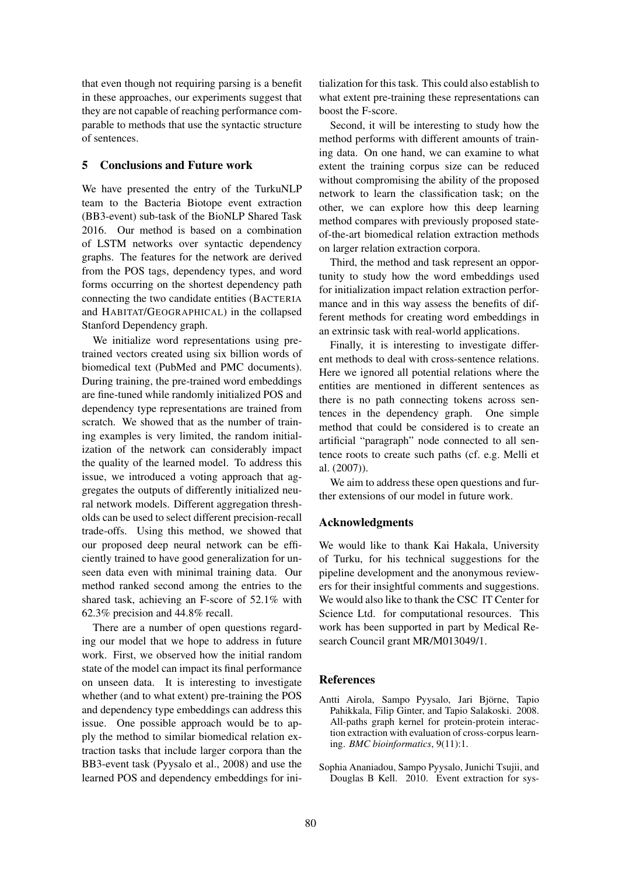that even though not requiring parsing is a benefit in these approaches, our experiments suggest that they are not capable of reaching performance comparable to methods that use the syntactic structure of sentences.

### 5 Conclusions and Future work

We have presented the entry of the TurkuNLP team to the Bacteria Biotope event extraction (BB3-event) sub-task of the BioNLP Shared Task 2016. Our method is based on a combination of LSTM networks over syntactic dependency graphs. The features for the network are derived from the POS tags, dependency types, and word forms occurring on the shortest dependency path connecting the two candidate entities (BACTERIA and HABITAT/GEOGRAPHICAL) in the collapsed Stanford Dependency graph.

We initialize word representations using pretrained vectors created using six billion words of biomedical text (PubMed and PMC documents). During training, the pre-trained word embeddings are fine-tuned while randomly initialized POS and dependency type representations are trained from scratch. We showed that as the number of training examples is very limited, the random initialization of the network can considerably impact the quality of the learned model. To address this issue, we introduced a voting approach that aggregates the outputs of differently initialized neural network models. Different aggregation thresholds can be used to select different precision-recall trade-offs. Using this method, we showed that our proposed deep neural network can be efficiently trained to have good generalization for unseen data even with minimal training data. Our method ranked second among the entries to the shared task, achieving an F-score of 52.1% with 62.3% precision and 44.8% recall.

There are a number of open questions regarding our model that we hope to address in future work. First, we observed how the initial random state of the model can impact its final performance on unseen data. It is interesting to investigate whether (and to what extent) pre-training the POS and dependency type embeddings can address this issue. One possible approach would be to apply the method to similar biomedical relation extraction tasks that include larger corpora than the BB3-event task (Pyysalo et al., 2008) and use the learned POS and dependency embeddings for initialization for this task. This could also establish to what extent pre-training these representations can boost the F-score.

Second, it will be interesting to study how the method performs with different amounts of training data. On one hand, we can examine to what extent the training corpus size can be reduced without compromising the ability of the proposed network to learn the classification task; on the other, we can explore how this deep learning method compares with previously proposed stateof-the-art biomedical relation extraction methods on larger relation extraction corpora.

Third, the method and task represent an opportunity to study how the word embeddings used for initialization impact relation extraction performance and in this way assess the benefits of different methods for creating word embeddings in an extrinsic task with real-world applications.

Finally, it is interesting to investigate different methods to deal with cross-sentence relations. Here we ignored all potential relations where the entities are mentioned in different sentences as there is no path connecting tokens across sentences in the dependency graph. One simple method that could be considered is to create an artificial "paragraph" node connected to all sentence roots to create such paths (cf. e.g. Melli et al. (2007)).

We aim to address these open questions and further extensions of our model in future work.

### Acknowledgments

We would like to thank Kai Hakala, University of Turku, for his technical suggestions for the pipeline development and the anonymous reviewers for their insightful comments and suggestions. We would also like to thank the CSC IT Center for Science Ltd. for computational resources. This work has been supported in part by Medical Research Council grant MR/M013049/1.

### **References**

- Antti Airola, Sampo Pyysalo, Jari Björne, Tapio Pahikkala, Filip Ginter, and Tapio Salakoski. 2008. All-paths graph kernel for protein-protein interaction extraction with evaluation of cross-corpus learning. *BMC bioinformatics*, 9(11):1.
- Sophia Ananiadou, Sampo Pyysalo, Junichi Tsujii, and Douglas B Kell. 2010. Event extraction for sys-